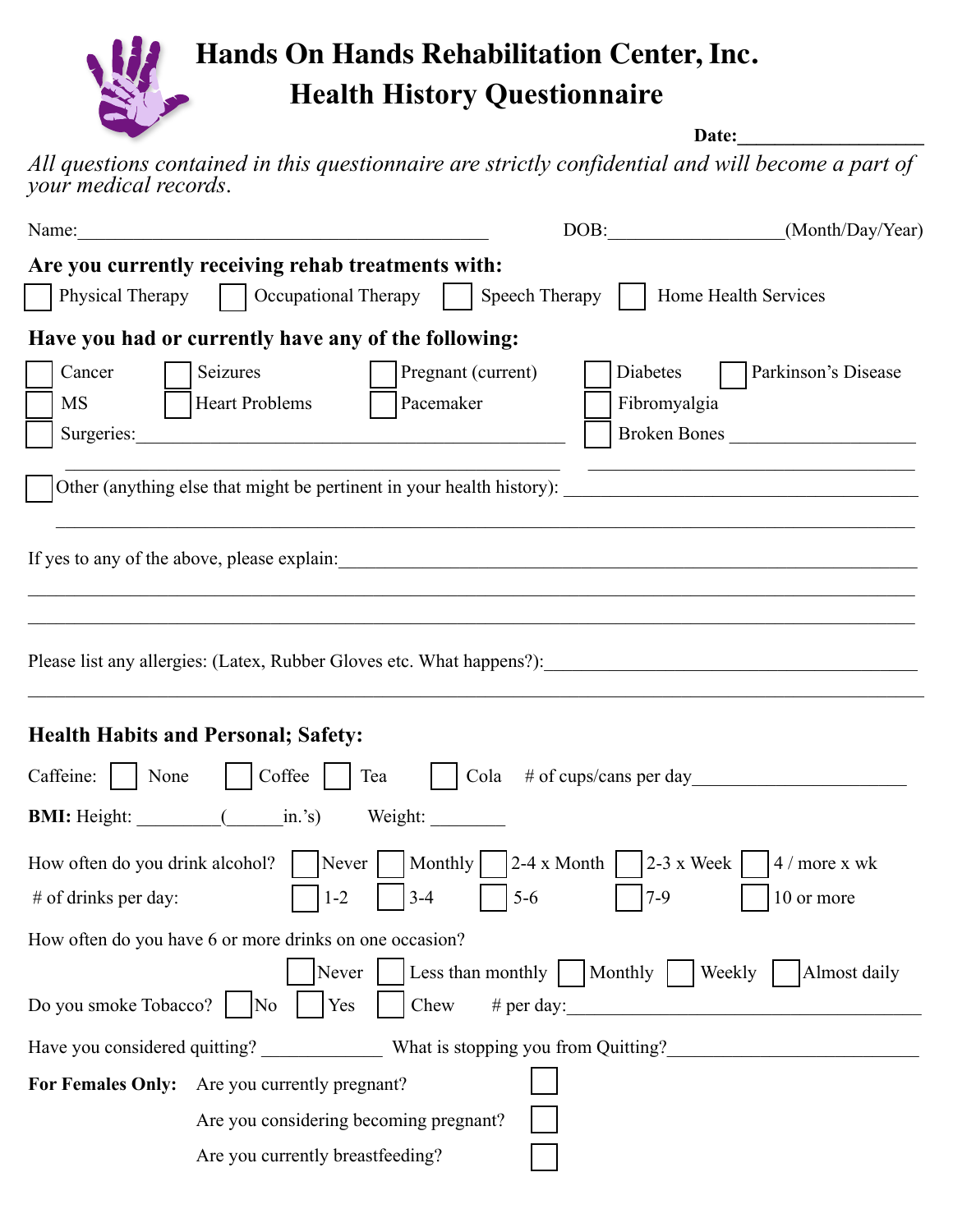

*All questions contained in this questionnaire are strictly confidential and will become a part of your medical records*.

| Name:                                                                                                                                                           | $\boxed{\text{DOB:}\qquad \qquad }$                                              | (Month/Day/Year)                    |  |  |
|-----------------------------------------------------------------------------------------------------------------------------------------------------------------|----------------------------------------------------------------------------------|-------------------------------------|--|--|
| Are you currently receiving rehab treatments with:                                                                                                              |                                                                                  |                                     |  |  |
| Physical Therapy     Occupational Therapy     Speech Therapy     Home Health Services                                                                           |                                                                                  |                                     |  |  |
| Have you had or currently have any of the following:                                                                                                            |                                                                                  |                                     |  |  |
| Cancer<br>Seizures<br>Pregnant (current)<br><b>Heart Problems</b><br>Pacemaker<br><b>MS</b>                                                                     | Diabetes<br>Fibromyalgia                                                         | Parkinson's Disease<br>Broken Bones |  |  |
|                                                                                                                                                                 |                                                                                  |                                     |  |  |
|                                                                                                                                                                 |                                                                                  |                                     |  |  |
| <b>Health Habits and Personal; Safety:</b>                                                                                                                      |                                                                                  |                                     |  |  |
| $\vert$ Coffee $\vert$ Tea $\vert$<br>Caffeine:     None<br>Cola $#$ of cups/cans per day                                                                       |                                                                                  |                                     |  |  |
| <b>BMI:</b> Height: (in.'s) Weight:                                                                                                                             |                                                                                  |                                     |  |  |
| How often do you drink alcohol?   Never  <br>$3 - 4$<br>$1 - 2$<br>$#$ of drinks per day:                                                                       | $\vert$ Monthly $\vert$ 2-4 x Month $\vert$ 2-3 x Week $\vert$<br>$5-6$<br>$7-9$ | $4 /$ more x wk<br>10 or more       |  |  |
| How often do you have 6 or more drinks on one occasion?                                                                                                         |                                                                                  |                                     |  |  |
| Never   Less than monthly   Monthly   Weekly<br>Almost daily<br>Do you smoke Tobacco?<br>Chew # per day: $\frac{1}{2}$ # per day:<br>Yes<br>$\overline{\rm No}$ |                                                                                  |                                     |  |  |
|                                                                                                                                                                 |                                                                                  |                                     |  |  |
| For Females Only: Are you currently pregnant?                                                                                                                   |                                                                                  |                                     |  |  |
| Are you considering becoming pregnant?                                                                                                                          |                                                                                  |                                     |  |  |
| Are you currently breastfeeding?                                                                                                                                |                                                                                  |                                     |  |  |